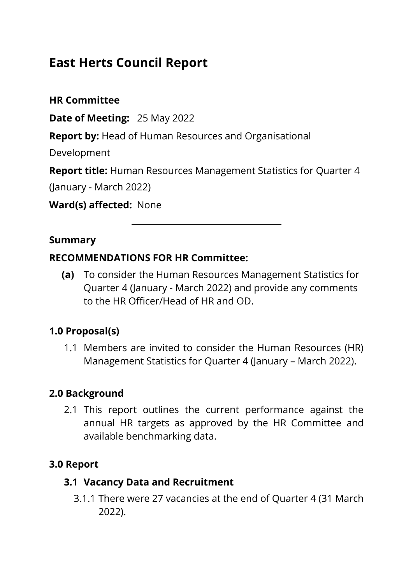# **East Herts Council Report**

**HR Committee**

**Date of Meeting:** 25 May 2022

**Report by:** Head of Human Resources and Organisational

Development

**Report title:** Human Resources Management Statistics for Quarter 4

(January - March 2022)

**Ward(s) affected:** None

#### **Summary**

#### **RECOMMENDATIONS FOR HR Committee:**

**(a)** To consider the Human Resources Management Statistics for Quarter 4 (January - March 2022) and provide any comments to the HR Officer/Head of HR and OD.

#### **1.0 Proposal(s)**

1.1 Members are invited to consider the Human Resources (HR) Management Statistics for Quarter 4 (January – March 2022).

#### **2.0 Background**

2.1 This report outlines the current performance against the annual HR targets as approved by the HR Committee and available benchmarking data.

#### **3.0 Report**

#### **3.1 Vacancy Data and Recruitment**

3.1.1 There were 27 vacancies at the end of Quarter 4 (31 March 2022).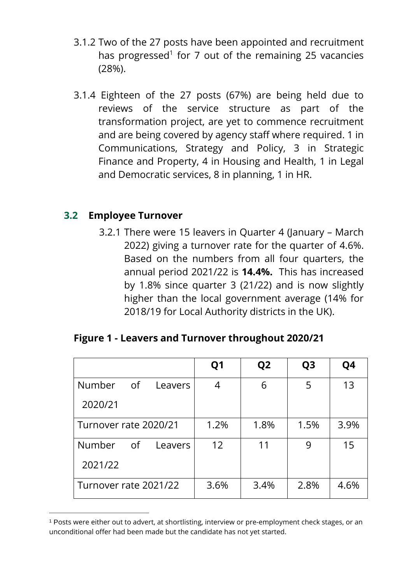- 3.1.2 Two of the 27 posts have been appointed and recruitment has progressed<sup>1</sup> for 7 out of the remaining 25 vacancies (28%).
- 3.1.4 Eighteen of the 27 posts (67%) are being held due to reviews of the service structure as part of the transformation project, are yet to commence recruitment and are being covered by agency staff where required. 1 in Communications, Strategy and Policy, 3 in Strategic Finance and Property, 4 in Housing and Health, 1 in Legal and Democratic services, 8 in planning, 1 in HR.

#### **3.2 Employee Turnover**

 $\overline{a}$ 

3.2.1 There were 15 leavers in Quarter 4 (January – March 2022) giving a turnover rate for the quarter of 4.6%. Based on the numbers from all four quarters, the annual period 2021/22 is **14.4%.** This has increased by 1.8% since quarter 3 (21/22) and is now slightly higher than the local government average (14% for 2018/19 for Local Authority districts in the UK).

|  | Figure 1 - Leavers and Turnover throughout 2020/21 |  |  |  |
|--|----------------------------------------------------|--|--|--|
|--|----------------------------------------------------|--|--|--|

|                       |    |         | Q <sub>1</sub> | Q <sub>2</sub> | Q <sub>3</sub> | Q4   |
|-----------------------|----|---------|----------------|----------------|----------------|------|
| <b>Number</b>         | of | Leavers | 4              | 6              | 5              | 13   |
| 2020/21               |    |         |                |                |                |      |
| Turnover rate 2020/21 |    |         | 1.2%           | 1.8%           | 1.5%           | 3.9% |
| <b>Number</b>         | of | Leavers | 12             | 11             | 9              | 15   |
| 2021/22               |    |         |                |                |                |      |
| Turnover rate 2021/22 |    |         | 3.6%           | 3.4%           | 2.8%           | 4.6% |

<sup>1</sup> Posts were either out to advert, at shortlisting, interview or pre-employment check stages, or an unconditional offer had been made but the candidate has not yet started.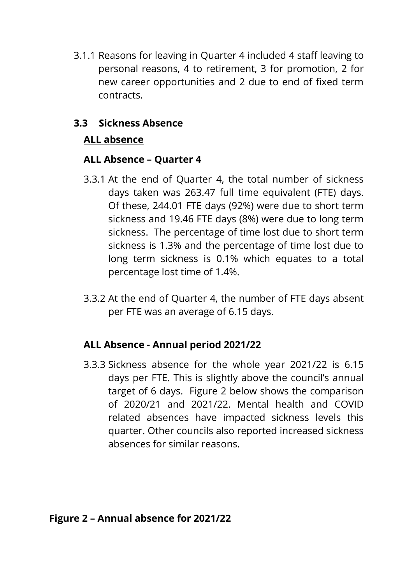3.1.1 Reasons for leaving in Quarter 4 included 4 staff leaving to personal reasons, 4 to retirement, 3 for promotion, 2 for new career opportunities and 2 due to end of fixed term contracts.

#### **3.3 Sickness Absence**

#### **ALL absence**

#### **ALL Absence – Quarter 4**

- 3.3.1 At the end of Quarter 4, the total number of sickness days taken was 263.47 full time equivalent (FTE) days. Of these, 244.01 FTE days (92%) were due to short term sickness and 19.46 FTE days (8%) were due to long term sickness. The percentage of time lost due to short term sickness is 1.3% and the percentage of time lost due to long term sickness is 0.1% which equates to a total percentage lost time of 1.4%.
- 3.3.2 At the end of Quarter 4, the number of FTE days absent per FTE was an average of 6.15 days.

#### **ALL Absence - Annual period 2021/22**

3.3.3 Sickness absence for the whole year 2021/22 is 6.15 days per FTE. This is slightly above the council's annual target of 6 days. Figure 2 below shows the comparison of 2020/21 and 2021/22. Mental health and COVID related absences have impacted sickness levels this quarter. Other councils also reported increased sickness absences for similar reasons.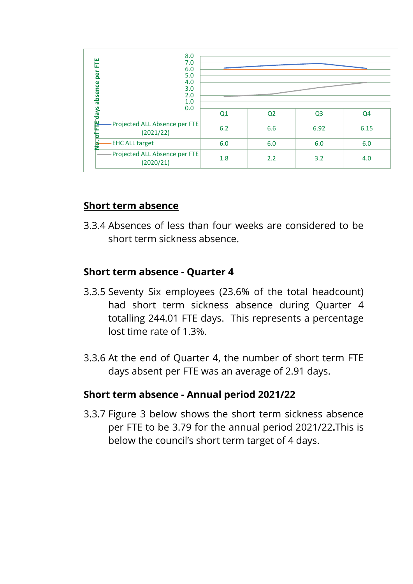| 8.0<br>Ë<br>7.0<br>6.0<br>per<br>5.0<br>4.0<br>absence<br>3.0<br>2.0<br>1.0<br>0.0 |     |                |                |                |  |
|------------------------------------------------------------------------------------|-----|----------------|----------------|----------------|--|
| <b>days</b>                                                                        | Q1  | Q <sub>2</sub> | Q <sub>3</sub> | Q <sub>4</sub> |  |
| - Projected ALL Absence per FTE<br>(2021/22)<br>о                                  | 6.2 | 6.6            | 6.92           | 6.15           |  |
| <b>EHC ALL target</b><br>G                                                         | 6.0 | 6.0            | 6.0            | 6.0            |  |
| - Projected ALL Absence per FTE<br>(2020/21)                                       | 1.8 | 2.2            | 3.2            | 4.0            |  |

#### **Short term absence**

3.3.4 Absences of less than four weeks are considered to be short term sickness absence.

#### **Short term absence - Quarter 4**

- 3.3.5 Seventy Six employees (23.6% of the total headcount) had short term sickness absence during Quarter 4 totalling 244.01 FTE days. This represents a percentage lost time rate of 1.3%.
- 3.3.6 At the end of Quarter 4, the number of short term FTE days absent per FTE was an average of 2.91 days.

#### **Short term absence - Annual period 2021/22**

3.3.7 Figure 3 below shows the short term sickness absence per FTE to be 3.79 for the annual period 2021/22**.**This is below the council's short term target of 4 days.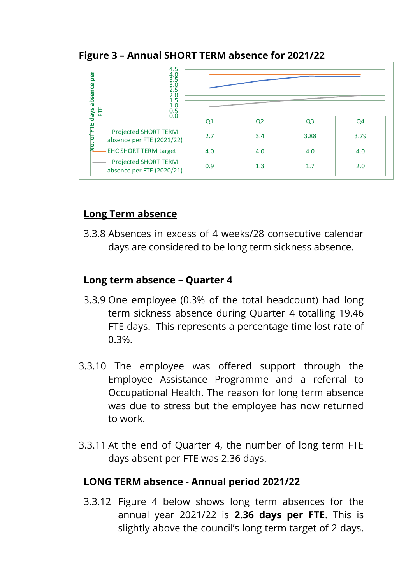#### **Figure 3 – Annual SHORT TERM absence for 2021/22**

| $4.5$<br>$4.0$<br>$3.5$<br>$3.0$<br>ber<br>absence<br>2.5<br>2.0<br>$1.\overline{5}$<br>1.0<br>Ë<br>S<br>$0.5 \\ 0.0$ |                |                |                |      |
|-----------------------------------------------------------------------------------------------------------------------|----------------|----------------|----------------|------|
| day                                                                                                                   | Q <sub>1</sub> | Q <sub>2</sub> | Q <sub>3</sub> | Q4   |
| Projected SHORT TERM<br>n<br>absence per FTE (2021/22)<br>٠<br>o                                                      | 2.7            | 3.4            | 3.88           | 3.79 |
| <b>EHC SHORT TERM target</b>                                                                                          | 4.0            | 4.0            | 4.0            | 4.0  |
| Projected SHORT TERM<br>absence per FTE (2020/21)                                                                     | 0.9            | 1.3            | 1.7            | 2.0  |

## **Long Term absence**

3.3.8 Absences in excess of 4 weeks/28 consecutive calendar days are considered to be long term sickness absence.

### **Long term absence – Quarter 4**

- 3.3.9 One employee (0.3% of the total headcount) had long term sickness absence during Quarter 4 totalling 19.46 FTE days. This represents a percentage time lost rate of 0.3%.
- 3.3.10 The employee was offered support through the Employee Assistance Programme and a referral to Occupational Health. The reason for long term absence was due to stress but the employee has now returned to work.
- 3.3.11 At the end of Quarter 4, the number of long term FTE days absent per FTE was 2.36 days.

#### **LONG TERM absence - Annual period 2021/22**

3.3.12 Figure 4 below shows long term absences for the annual year 2021/22 is **2.36 days per FTE**. This is slightly above the council's long term target of 2 days.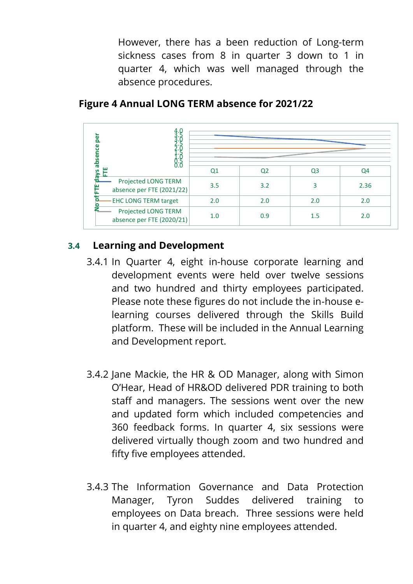However, there has a been reduction of Long-term sickness cases from 8 in quarter 3 down to 1 in quarter 4, which was well managed through the absence procedures.

| ō<br>ω<br>ū<br>abse                              |                |                |                |      |
|--------------------------------------------------|----------------|----------------|----------------|------|
| ш                                                | Q <sub>1</sub> | Q <sub>2</sub> | Q <sub>3</sub> | Q4   |
| Projected LONG TERM<br>absence per FTE (2021/22) | 3.5            | 3.2            |                | 2.36 |
| <b>EHC LONG TERM target</b>                      | 2.0            | 2.0            | 2.0            | 2.0  |
| Projected LONG TERM<br>absence per FTE (2020/21) | 1.0            | 0.9            | 1.5            | 2.0  |

### **Figure 4 Annual LONG TERM absence for 2021/22**

## **3.4 Learning and Development**

- 3.4.1 In Quarter 4, eight in-house corporate learning and development events were held over twelve sessions and two hundred and thirty employees participated. Please note these figures do not include the in-house elearning courses delivered through the Skills Build platform. These will be included in the Annual Learning and Development report.
- 3.4.2 Jane Mackie, the HR & OD Manager, along with Simon O'Hear, Head of HR&OD delivered PDR training to both staff and managers. The sessions went over the new and updated form which included competencies and 360 feedback forms. In quarter 4, six sessions were delivered virtually though zoom and two hundred and fifty five employees attended.
- 3.4.3 The Information Governance and Data Protection Manager, Tyron Suddes delivered training to employees on Data breach. Three sessions were held in quarter 4, and eighty nine employees attended.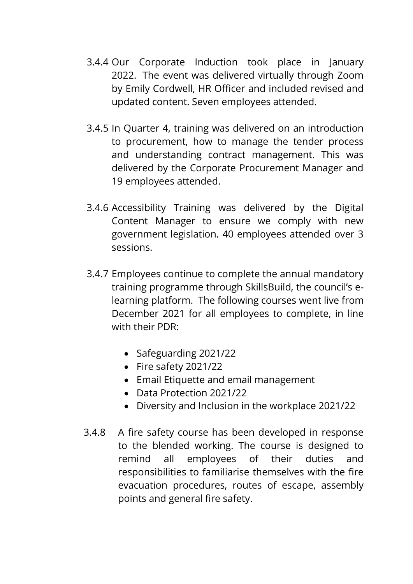- 3.4.4 Our Corporate Induction took place in January 2022. The event was delivered virtually through Zoom by Emily Cordwell, HR Officer and included revised and updated content. Seven employees attended.
- 3.4.5 In Quarter 4, training was delivered on an introduction to procurement, how to manage the tender process and understanding contract management. This was delivered by the Corporate Procurement Manager and 19 employees attended.
- 3.4.6 Accessibility Training was delivered by the Digital Content Manager to ensure we comply with new government legislation. 40 employees attended over 3 sessions.
- 3.4.7 Employees continue to complete the annual mandatory training programme through SkillsBuild, the council's elearning platform. The following courses went live from December 2021 for all employees to complete, in line with their PDR:
	- Safeguarding 2021/22
	- Fire safety 2021/22
	- Email Etiquette and email management
	- Data Protection 2021/22
	- Diversity and Inclusion in the workplace 2021/22
- 3.4.8 A fire safety course has been developed in response to the blended working. The course is designed to remind all employees of their duties and responsibilities to familiarise themselves with the fire evacuation procedures, routes of escape, assembly points and general fire safety.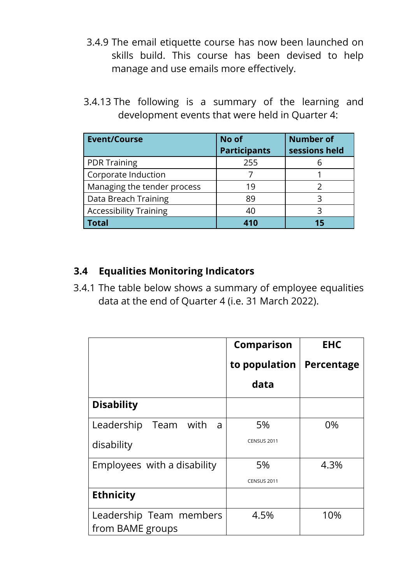- 3.4.9 The email etiquette course has now been launched on skills build. This course has been devised to help manage and use emails more effectively.
- 3.4.13 The following is a summary of the learning and development events that were held in Quarter 4:

| <b>Event/Course</b>           | No of<br><b>Participants</b> | <b>Number of</b><br>sessions held |
|-------------------------------|------------------------------|-----------------------------------|
| <b>PDR Training</b>           | 255                          |                                   |
| Corporate Induction           |                              |                                   |
| Managing the tender process   | 19                           |                                   |
| Data Breach Training          | 89                           |                                   |
| <b>Accessibility Training</b> | 40                           |                                   |
| <b>Total</b>                  | 410                          |                                   |

### **3.4 Equalities Monitoring Indicators**

3.4.1 The table below shows a summary of employee equalities data at the end of Quarter 4 (i.e. 31 March 2022).

|                              | <b>Comparison</b>  | <b>EHC</b> |
|------------------------------|--------------------|------------|
|                              | to population      | Percentage |
|                              | data               |            |
| <b>Disability</b>            |                    |            |
| Leadership<br>Team with<br>a | 5%                 | 0%         |
| disability                   | <b>CENSUS 2011</b> |            |
| Employees with a disability  | 5%                 | 4.3%       |
|                              | <b>CENSUS 2011</b> |            |
| <b>Ethnicity</b>             |                    |            |
| Leadership Team members      | 4.5%               | 10%        |
| from BAME groups             |                    |            |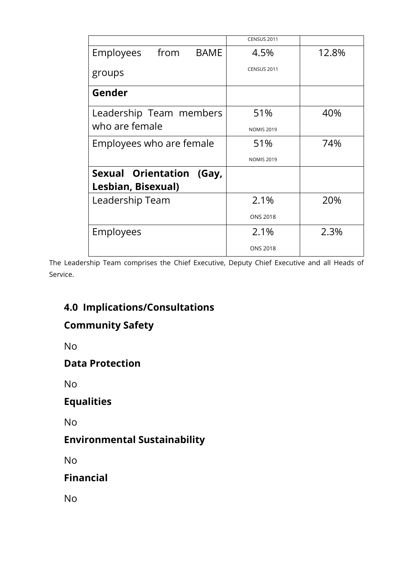|                                                   | <b>CENSUS 2011</b> |       |
|---------------------------------------------------|--------------------|-------|
| Employees<br>from<br><b>BAME</b>                  | 4.5%               | 12.8% |
| groups                                            | CENSUS 2011        |       |
| Gender                                            |                    |       |
| Leadership Team members                           | 51%                | 40%   |
| who are female                                    | <b>NOMIS 2019</b>  |       |
| Employees who are female                          | 51%                | 74%   |
|                                                   | <b>NOMIS 2019</b>  |       |
| Sexual Orientation<br>(Gay,<br>Lesbian, Bisexual) |                    |       |
| Leadership Team                                   | 2.1%               | 20%   |
|                                                   | <b>ONS 2018</b>    |       |
| Employees                                         | 2.1%               | 2.3%  |
|                                                   | <b>ONS 2018</b>    |       |

The Leadership Team comprises the Chief Executive, Deputy Chief Executive and all Heads of Service.

# **4.0 Implications/Consultations**

## **Community Safety**

No

### **Data Protection**

No

## **Equalities**

No

## **Environmental Sustainability**

No

## **Financial**

No